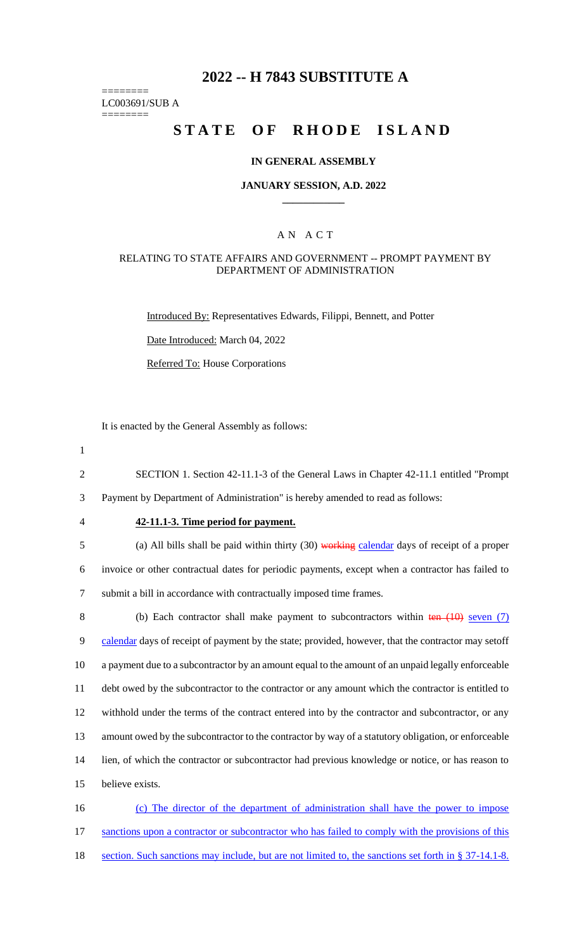# **2022 -- H 7843 SUBSTITUTE A**

======== LC003691/SUB A

========

# **STATE OF RHODE ISLAND**

### **IN GENERAL ASSEMBLY**

### **JANUARY SESSION, A.D. 2022 \_\_\_\_\_\_\_\_\_\_\_\_**

## A N A C T

### RELATING TO STATE AFFAIRS AND GOVERNMENT -- PROMPT PAYMENT BY DEPARTMENT OF ADMINISTRATION

Introduced By: Representatives Edwards, Filippi, Bennett, and Potter

Date Introduced: March 04, 2022

Referred To: House Corporations

It is enacted by the General Assembly as follows:

- 1
- 2 SECTION 1. Section 42-11.1-3 of the General Laws in Chapter 42-11.1 entitled "Prompt

#### 3 Payment by Department of Administration" is hereby amended to read as follows:

#### 4 **42-11.1-3. Time period for payment.**

5 (a) All bills shall be paid within thirty (30) working calendar days of receipt of a proper 6 invoice or other contractual dates for periodic payments, except when a contractor has failed to

7 submit a bill in accordance with contractually imposed time frames. 8 (b) Each contractor shall make payment to subcontractors within ten (10) seven (7)

9 calendar days of receipt of payment by the state; provided, however, that the contractor may setoff a payment due to a subcontractor by an amount equal to the amount of an unpaid legally enforceable debt owed by the subcontractor to the contractor or any amount which the contractor is entitled to withhold under the terms of the contract entered into by the contractor and subcontractor, or any amount owed by the subcontractor to the contractor by way of a statutory obligation, or enforceable lien, of which the contractor or subcontractor had previous knowledge or notice, or has reason to believe exists.

16 (c) The director of the department of administration shall have the power to impose 17 sanctions upon a contractor or subcontractor who has failed to comply with the provisions of this 18 section. Such sanctions may include, but are not limited to, the sanctions set forth in § 37-14.1-8.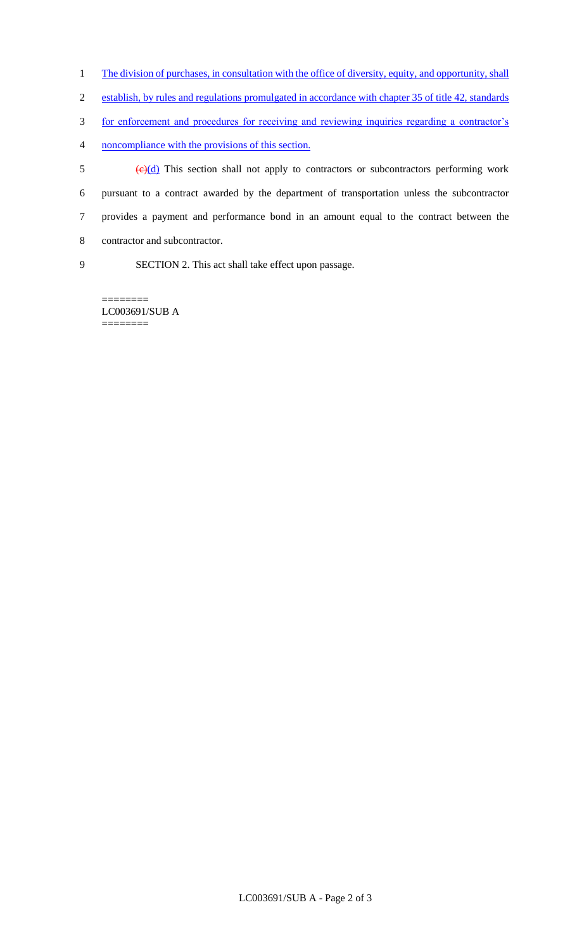- 1 The division of purchases, in consultation with the office of diversity, equity, and opportunity, shall
- 2 establish, by rules and regulations promulgated in accordance with chapter 35 of title 42, standards
- 3 for enforcement and procedures for receiving and reviewing inquiries regarding a contractor's
- 4 noncompliance with the provisions of this section.

 $\frac{1}{2}$  (e)(d) This section shall not apply to contractors or subcontractors performing work pursuant to a contract awarded by the department of transportation unless the subcontractor provides a payment and performance bond in an amount equal to the contract between the contractor and subcontractor.

9 SECTION 2. This act shall take effect upon passage.

LC003691/SUB A ========

========